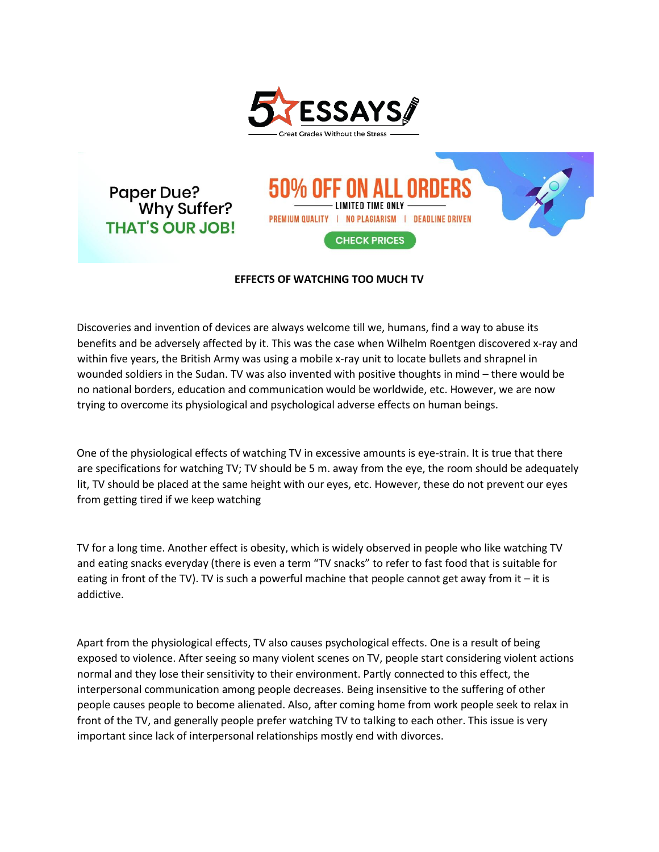

**Paper Due?** Why Suffer? **THAT'S OUR JOB!** 

IMITED TIME ONLY PREMIUM QUALITY | NO PLAGIARISM | DEADLINE DRIVEN **CHECK PRICES** 

## **EFFECTS OF WATCHING TOO MUCH TV**

Discoveries and invention of devices are always welcome till we, humans, find a way to abuse its benefits and be adversely affected by it. This was the case when Wilhelm Roentgen discovered x-ray and within five years, the British Army was using a mobile x-ray unit to locate bullets and shrapnel in wounded soldiers in the Sudan. TV was also invented with positive thoughts in mind – there would be no national borders, education and communication would be worldwide, etc. However, we are now trying to overcome its physiological and psychological adverse effects on human beings.

One of the physiological effects of watching TV in excessive amounts is eye-strain. It is true that there are specifications for watching TV; TV should be 5 m. away from the eye, the room should be adequately lit, TV should be placed at the same height with our eyes, etc. However, these do not prevent our eyes from getting tired if we keep watching

TV for a long time. Another effect is obesity, which is widely observed in people who like watching TV and eating snacks everyday (there is even a term "TV snacks" to refer to fast food that is suitable for eating in front of the TV). TV is such a powerful machine that people cannot get away from it  $-$  it is addictive.

Apart from the physiological effects, TV also causes psychological effects. One is a result of being exposed to violence. After seeing so many violent scenes on TV, people start considering violent actions normal and they lose their sensitivity to their environment. Partly connected to this effect, the interpersonal communication among people decreases. Being insensitive to the suffering of other people causes people to become alienated. Also, after coming home from work people seek to relax in front of the TV, and generally people prefer watching TV to talking to each other. This issue is very important since lack of interpersonal relationships mostly end with divorces.